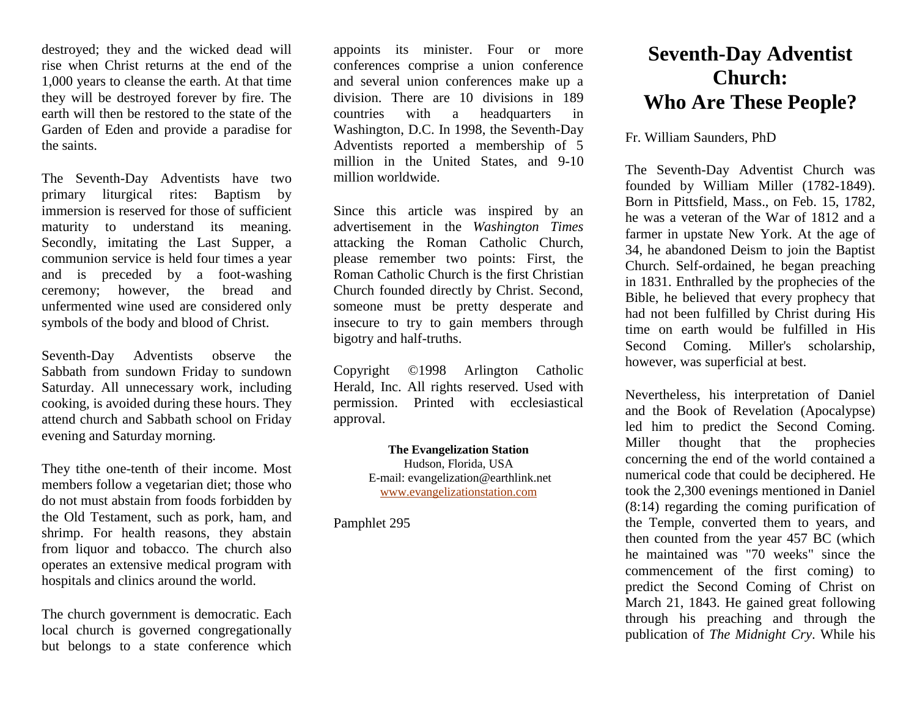destroyed; they and the wicked dead will rise when Christ returns at the end of the 1,000 years to cleanse the earth. At that time they will be destroyed forever by fire. The earth will then be restored to the state of the Garden of Eden and provide a paradise for the saints.

The Seventh-Day Adventists have two primary liturgical rites: Baptism by immersion is reserved for those of sufficient maturity to understand its meaning. Secondly, imitating the Last Supper, a communion service is held four times a year and is preceded by a foot-washing ceremony; however, the bread and unfermented wine used are considered only symbols of the body and blood of Christ.

Seventh-Day Adventists observe the Sabbath from sundown Friday to sundown Saturday. All unnecessary work, including cooking, is avoided during these hours. They attend church and Sabbath school on Friday evening and Saturday morning.

They tithe one-tenth of their income. Most members follow a vegetarian diet; those who do not must abstain from foods forbidden by the Old Testament, such as pork, ham, and shrimp. For health reasons, they abstain from liquor and tobacco. The church also operates an extensive medical program with hospitals and clinics around the world.

The church government is democratic. Each local church is governed congregationally but belongs to a state conference which appoints its minister. Four or more conferences comprise a union conference and several union conferences make up a division. There are 10 divisions in 189 countries with a headquarters in Washington, D.C. In 1998, the Seventh-Day Adventists reported a membership of 5 million in the United States, and 9-10 million worldwide.

Since this article was inspired by an advertisement in the *Washington Times* attacking the Roman Catholic Church, please remember two points: First, the Roman Catholic Church is the first Christian Church founded directly by Christ. Second, someone must be pretty desperate and insecure to try to gain members through bigotry and half-truths.

Copyright ©1998 Arlington Catholic Herald, Inc. All rights reserved. Used with permission. Printed with ecclesiastical approval.

## **The Evangelization Station**

Hudson, Florida, USA E-mail: evangelization@earthlink.net [www.evangelizationstation.com](http://www.pjpiisoe.org/)

Pamphlet 295

## **Seventh-Day Adventist Church: Who Are These People?**

## Fr. William Saunders, PhD

The Seventh-Day Adventist Church was founded by William Miller (1782-1849). Born in Pittsfield, Mass., on Feb. 15, 1782, he was a veteran of the War of 1812 and a farmer in upstate New York. At the age of 34, he abandoned Deism to join the Baptist Church. Self-ordained, he began preaching in 1831. Enthralled by the prophecies of the Bible, he believed that every prophecy that had not been fulfilled by Christ during His time on earth would be fulfilled in His Second Coming. Miller's scholarship, however, was superficial at best.

Nevertheless, his interpretation of Daniel and the Book of Revelation (Apocalypse) led him to predict the Second Coming. Miller thought that the prophecies concerning the end of the world contained a numerical code that could be deciphered. He took the 2,300 evenings mentioned in Daniel (8:14) regarding the coming purification of the Temple, converted them to years, and then counted from the year 457 BC (which he maintained was "70 weeks" since the commencement of the first coming) to predict the Second Coming of Christ on March 21, 1843. He gained great following through his preaching and through the publication of *The Midnight Cry*. While his